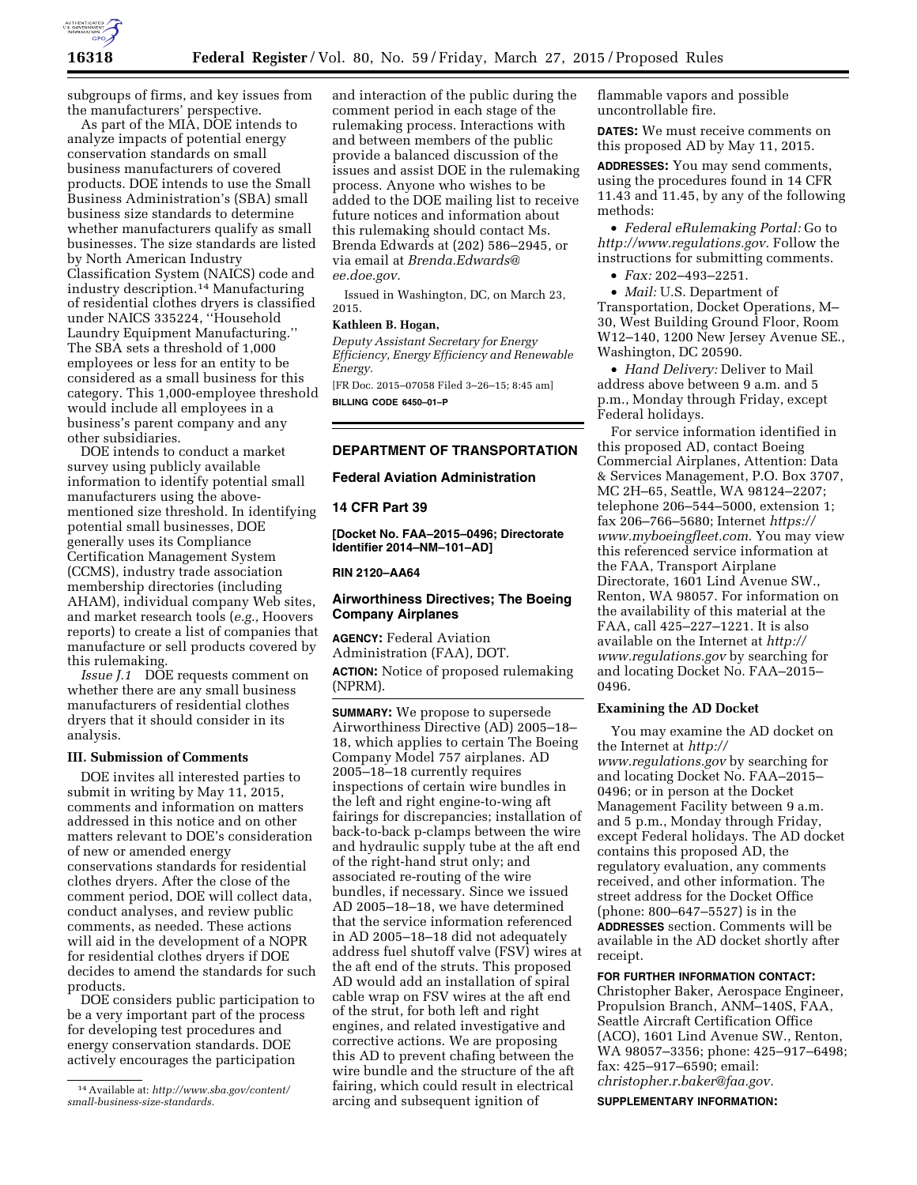

subgroups of firms, and key issues from the manufacturers' perspective.

As part of the MIA, DOE intends to analyze impacts of potential energy conservation standards on small business manufacturers of covered products. DOE intends to use the Small Business Administration's (SBA) small business size standards to determine whether manufacturers qualify as small businesses. The size standards are listed by North American Industry Classification System (NAICS) code and industry description.14 Manufacturing of residential clothes dryers is classified under NAICS 335224, ''Household Laundry Equipment Manufacturing.'' The SBA sets a threshold of 1,000 employees or less for an entity to be considered as a small business for this category. This 1,000-employee threshold would include all employees in a business's parent company and any other subsidiaries.

DOE intends to conduct a market survey using publicly available information to identify potential small manufacturers using the abovementioned size threshold. In identifying potential small businesses, DOE generally uses its Compliance Certification Management System (CCMS), industry trade association membership directories (including AHAM), individual company Web sites, and market research tools (*e.g.,* Hoovers reports) to create a list of companies that manufacture or sell products covered by this rulemaking.

*Issue J.1* DOE requests comment on whether there are any small business manufacturers of residential clothes dryers that it should consider in its analysis.

### **III. Submission of Comments**

DOE invites all interested parties to submit in writing by May 11, 2015, comments and information on matters addressed in this notice and on other matters relevant to DOE's consideration of new or amended energy conservations standards for residential clothes dryers. After the close of the comment period, DOE will collect data, conduct analyses, and review public comments, as needed. These actions will aid in the development of a NOPR for residential clothes dryers if DOE decides to amend the standards for such products.

DOE considers public participation to be a very important part of the process for developing test procedures and energy conservation standards. DOE actively encourages the participation

and interaction of the public during the comment period in each stage of the rulemaking process. Interactions with and between members of the public provide a balanced discussion of the issues and assist DOE in the rulemaking process. Anyone who wishes to be added to the DOE mailing list to receive future notices and information about this rulemaking should contact Ms. Brenda Edwards at (202) 586–2945, or via email at *[Brenda.Edwards@](mailto:Brenda.Edwards@ee.doe.gov) [ee.doe.gov.](mailto:Brenda.Edwards@ee.doe.gov)* 

Issued in Washington, DC, on March 23, 2015.

### **Kathleen B. Hogan,**

*Deputy Assistant Secretary for Energy Efficiency, Energy Efficiency and Renewable Energy.* 

[FR Doc. 2015–07058 Filed 3–26–15; 8:45 am] **BILLING CODE 6450–01–P** 

## **DEPARTMENT OF TRANSPORTATION**

### **Federal Aviation Administration**

### **14 CFR Part 39**

**[Docket No. FAA–2015–0496; Directorate Identifier 2014–NM–101–AD]** 

## **RIN 2120–AA64**

# **Airworthiness Directives; The Boeing Company Airplanes**

**AGENCY:** Federal Aviation Administration (FAA), DOT. **ACTION:** Notice of proposed rulemaking (NPRM).

**SUMMARY:** We propose to supersede Airworthiness Directive (AD) 2005–18– 18, which applies to certain The Boeing Company Model 757 airplanes. AD 2005–18–18 currently requires inspections of certain wire bundles in the left and right engine-to-wing aft fairings for discrepancies; installation of back-to-back p-clamps between the wire and hydraulic supply tube at the aft end of the right-hand strut only; and associated re-routing of the wire bundles, if necessary. Since we issued AD 2005–18–18, we have determined that the service information referenced in AD 2005–18–18 did not adequately address fuel shutoff valve (FSV) wires at the aft end of the struts. This proposed AD would add an installation of spiral cable wrap on FSV wires at the aft end of the strut, for both left and right engines, and related investigative and corrective actions. We are proposing this AD to prevent chafing between the wire bundle and the structure of the aft fairing, which could result in electrical arcing and subsequent ignition of

flammable vapors and possible uncontrollable fire.

**DATES:** We must receive comments on this proposed AD by May 11, 2015.

**ADDRESSES:** You may send comments, using the procedures found in 14 CFR 11.43 and 11.45, by any of the following methods:

• *Federal eRulemaking Portal:* Go to *[http://www.regulations.gov.](http://www.regulations.gov)* Follow the instructions for submitting comments.

• *Fax:* 202–493–2251.

• *Mail:* U.S. Department of Transportation, Docket Operations, M– 30, West Building Ground Floor, Room W12–140, 1200 New Jersey Avenue SE., Washington, DC 20590.

• *Hand Delivery:* Deliver to Mail address above between 9 a.m. and 5 p.m., Monday through Friday, except Federal holidays.

For service information identified in this proposed AD, contact Boeing Commercial Airplanes, Attention: Data & Services Management, P.O. Box 3707, MC 2H–65, Seattle, WA 98124–2207; telephone 206–544–5000, extension 1; fax 206–766–5680; Internet *[https://](https://www.myboeingfleet.com) [www.myboeingfleet.com.](https://www.myboeingfleet.com)* You may view this referenced service information at the FAA, Transport Airplane Directorate, 1601 Lind Avenue SW., Renton, WA 98057. For information on the availability of this material at the FAA, call 425–227–1221. It is also available on the Internet at *[http://](http://www.regulations.gov) [www.regulations.gov](http://www.regulations.gov)* by searching for and locating Docket No. FAA–2015– 0496.

# **Examining the AD Docket**

You may examine the AD docket on the Internet at *[http://](http://www.regulations.gov) [www.regulations.gov](http://www.regulations.gov)* by searching for and locating Docket No. FAA–2015– 0496; or in person at the Docket Management Facility between 9 a.m. and 5 p.m., Monday through Friday, except Federal holidays. The AD docket contains this proposed AD, the regulatory evaluation, any comments received, and other information. The street address for the Docket Office (phone: 800–647–5527) is in the **ADDRESSES** section. Comments will be available in the AD docket shortly after receipt.

#### **FOR FURTHER INFORMATION CONTACT:**

Christopher Baker, Aerospace Engineer, Propulsion Branch, ANM–140S, FAA, Seattle Aircraft Certification Office (ACO), 1601 Lind Avenue SW., Renton, WA 98057–3356; phone: 425–917–6498; fax: 425–917–6590; email: *[christopher.r.baker@faa.gov.](mailto:christopher.r.baker@faa.gov)* 

**SUPPLEMENTARY INFORMATION:** 

<sup>14</sup>Available at: *[http://www.sba.gov/content/](http://www.sba.gov/content/small-business-size-standards) [small-business-size-standards.](http://www.sba.gov/content/small-business-size-standards)*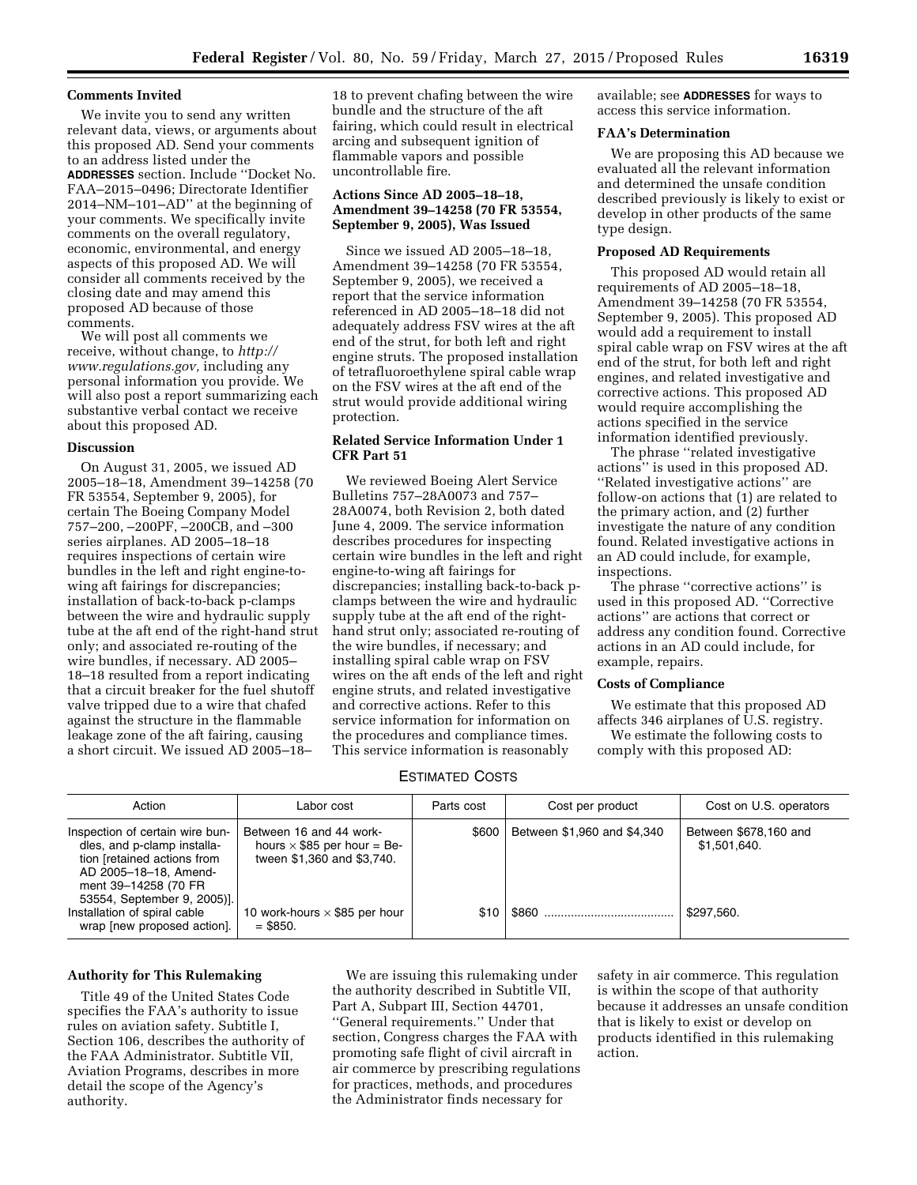### **Comments Invited**

We invite you to send any written relevant data, views, or arguments about this proposed AD. Send your comments to an address listed under the **ADDRESSES** section. Include ''Docket No. FAA–2015–0496; Directorate Identifier 2014–NM–101–AD'' at the beginning of your comments. We specifically invite comments on the overall regulatory, economic, environmental, and energy aspects of this proposed AD. We will consider all comments received by the closing date and may amend this proposed AD because of those comments.

We will post all comments we receive, without change, to *[http://](http://www.regulations.gov) [www.regulations.gov,](http://www.regulations.gov)* including any personal information you provide. We will also post a report summarizing each substantive verbal contact we receive about this proposed AD.

#### **Discussion**

On August 31, 2005, we issued AD 2005–18–18, Amendment 39–14258 (70 FR 53554, September 9, 2005), for certain The Boeing Company Model 757–200, –200PF, –200CB, and –300 series airplanes. AD 2005–18–18 requires inspections of certain wire bundles in the left and right engine-towing aft fairings for discrepancies; installation of back-to-back p-clamps between the wire and hydraulic supply tube at the aft end of the right-hand strut only; and associated re-routing of the wire bundles, if necessary. AD 2005– 18–18 resulted from a report indicating that a circuit breaker for the fuel shutoff valve tripped due to a wire that chafed against the structure in the flammable leakage zone of the aft fairing, causing a short circuit. We issued AD 2005–18–

18 to prevent chafing between the wire bundle and the structure of the aft fairing, which could result in electrical arcing and subsequent ignition of flammable vapors and possible uncontrollable fire.

# **Actions Since AD 2005–18–18, Amendment 39–14258 (70 FR 53554, September 9, 2005), Was Issued**

Since we issued AD 2005–18–18, Amendment 39–14258 (70 FR 53554, September 9, 2005), we received a report that the service information referenced in AD 2005–18–18 did not adequately address FSV wires at the aft end of the strut, for both left and right engine struts. The proposed installation of tetrafluoroethylene spiral cable wrap on the FSV wires at the aft end of the strut would provide additional wiring protection.

## **Related Service Information Under 1 CFR Part 51**

We reviewed Boeing Alert Service Bulletins 757–28A0073 and 757– 28A0074, both Revision 2, both dated June 4, 2009. The service information describes procedures for inspecting certain wire bundles in the left and right engine-to-wing aft fairings for discrepancies; installing back-to-back pclamps between the wire and hydraulic supply tube at the aft end of the righthand strut only; associated re-routing of the wire bundles, if necessary; and installing spiral cable wrap on FSV wires on the aft ends of the left and right engine struts, and related investigative and corrective actions. Refer to this service information for information on the procedures and compliance times. This service information is reasonably

available; see **ADDRESSES** for ways to access this service information.

### **FAA's Determination**

We are proposing this AD because we evaluated all the relevant information and determined the unsafe condition described previously is likely to exist or develop in other products of the same type design.

### **Proposed AD Requirements**

This proposed AD would retain all requirements of AD 2005–18–18, Amendment 39–14258 (70 FR 53554, September 9, 2005). This proposed AD would add a requirement to install spiral cable wrap on FSV wires at the aft end of the strut, for both left and right engines, and related investigative and corrective actions. This proposed AD would require accomplishing the actions specified in the service information identified previously.

The phrase ''related investigative actions'' is used in this proposed AD. ''Related investigative actions'' are follow-on actions that (1) are related to the primary action, and (2) further investigate the nature of any condition found. Related investigative actions in an AD could include, for example, inspections.

The phrase ''corrective actions'' is used in this proposed AD. ''Corrective actions'' are actions that correct or address any condition found. Corrective actions in an AD could include, for example, repairs.

## **Costs of Compliance**

We estimate that this proposed AD affects 346 airplanes of U.S. registry. We estimate the following costs to

comply with this proposed AD:

### ESTIMATED COSTS

| Action                                                                                                                                         | Labor cost                                                                                  | Parts cost | Cost per product            | Cost on U.S. operators                |
|------------------------------------------------------------------------------------------------------------------------------------------------|---------------------------------------------------------------------------------------------|------------|-----------------------------|---------------------------------------|
| Inspection of certain wire bun-<br>dles, and p-clamp installa-<br>tion [retained actions from<br>AD 2005-18-18, Amend-<br>ment 39-14258 (70 FR | Between 16 and 44 work-<br>hours $\times$ \$85 per hour = Be-<br>tween \$1,360 and \$3,740. | \$600      | Between \$1,960 and \$4,340 | Between \$678,160 and<br>\$1,501,640. |
| 53554, September 9, 2005)].<br>Installation of spiral cable<br>wrap [new proposed action].                                                     | 10 work-hours $\times$ \$85 per hour<br>$=$ \$850.                                          | \$10       |                             | \$297.560.                            |

## **Authority for This Rulemaking**

Title 49 of the United States Code specifies the FAA's authority to issue rules on aviation safety. Subtitle I, Section 106, describes the authority of the FAA Administrator. Subtitle VII, Aviation Programs, describes in more detail the scope of the Agency's authority.

We are issuing this rulemaking under the authority described in Subtitle VII, Part A, Subpart III, Section 44701, ''General requirements.'' Under that section, Congress charges the FAA with promoting safe flight of civil aircraft in air commerce by prescribing regulations for practices, methods, and procedures the Administrator finds necessary for

safety in air commerce. This regulation is within the scope of that authority because it addresses an unsafe condition that is likely to exist or develop on products identified in this rulemaking action.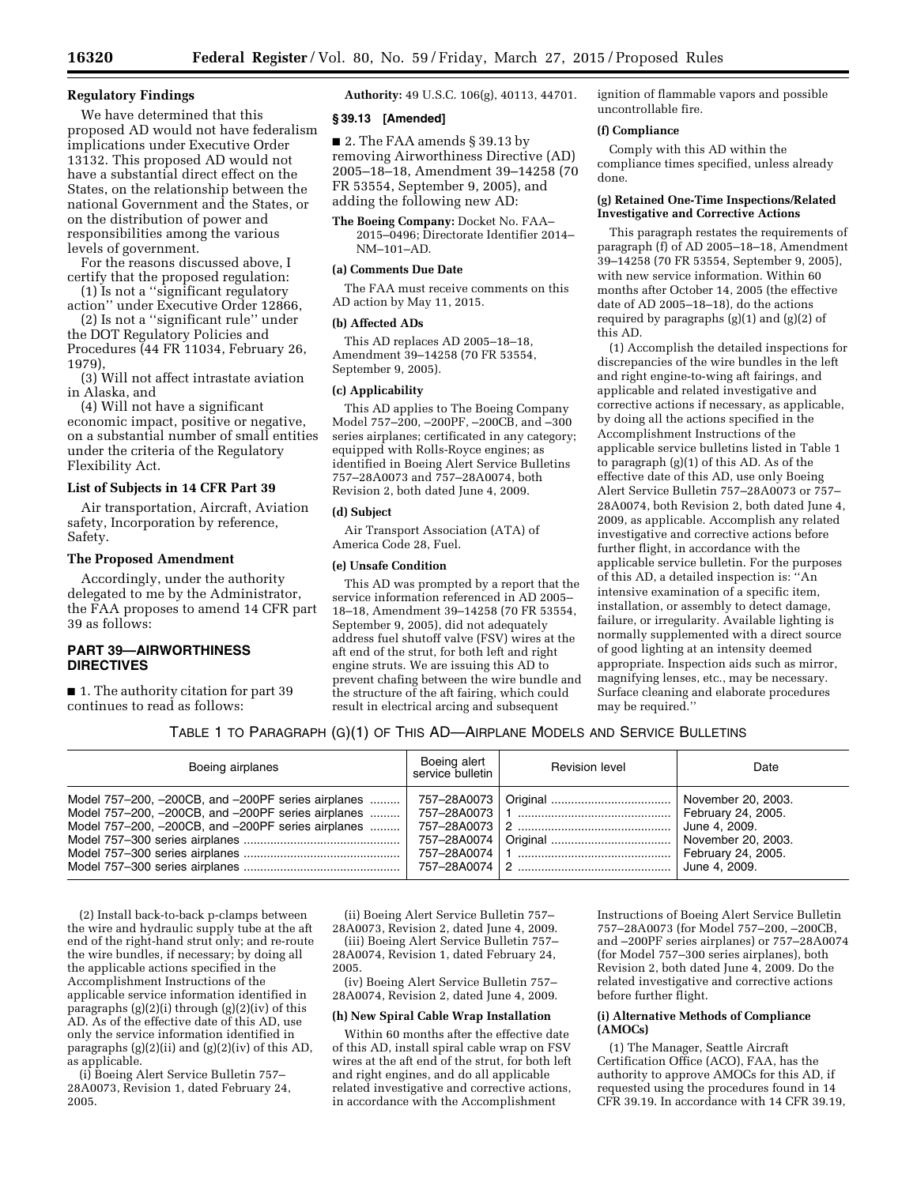### **Regulatory Findings**

We have determined that this proposed AD would not have federalism implications under Executive Order 13132. This proposed AD would not have a substantial direct effect on the States, on the relationship between the national Government and the States, or on the distribution of power and responsibilities among the various levels of government.

For the reasons discussed above, I certify that the proposed regulation:

(1) Is not a ''significant regulatory action'' under Executive Order 12866,

(2) Is not a ''significant rule'' under the DOT Regulatory Policies and Procedures (44 FR 11034, February 26, 1979),

(3) Will not affect intrastate aviation in Alaska, and

(4) Will not have a significant economic impact, positive or negative, on a substantial number of small entities under the criteria of the Regulatory Flexibility Act.

# **List of Subjects in 14 CFR Part 39**

Air transportation, Aircraft, Aviation safety, Incorporation by reference, Safety.

## **The Proposed Amendment**

Accordingly, under the authority delegated to me by the Administrator, the FAA proposes to amend 14 CFR part 39 as follows:

## **PART 39—AIRWORTHINESS DIRECTIVES**

■ 1. The authority citation for part 39 continues to read as follows:

**Authority:** 49 U.S.C. 106(g), 40113, 44701.

### **§ 39.13 [Amended]**

■ 2. The FAA amends § 39.13 by removing Airworthiness Directive (AD) 2005–18–18, Amendment 39–14258 (70 FR 53554, September 9, 2005), and adding the following new AD:

**The Boeing Company:** Docket No. FAA– 2015–0496; Directorate Identifier 2014– NM–101–AD.

## **(a) Comments Due Date**

The FAA must receive comments on this AD action by May 11, 2015.

#### **(b) Affected ADs**

This AD replaces AD 2005–18–18, Amendment 39–14258 (70 FR 53554, September 9, 2005).

#### **(c) Applicability**

This AD applies to The Boeing Company Model 757–200, –200PF, –200CB, and –300 series airplanes; certificated in any category; equipped with Rolls-Royce engines; as identified in Boeing Alert Service Bulletins 757–28A0073 and 757–28A0074, both Revision 2, both dated June 4, 2009.

#### **(d) Subject**

Air Transport Association (ATA) of America Code 28, Fuel.

## **(e) Unsafe Condition**

This AD was prompted by a report that the service information referenced in AD 2005– 18–18, Amendment 39–14258 (70 FR 53554, September 9, 2005), did not adequately address fuel shutoff valve (FSV) wires at the aft end of the strut, for both left and right engine struts. We are issuing this AD to prevent chafing between the wire bundle and the structure of the aft fairing, which could result in electrical arcing and subsequent

ignition of flammable vapors and possible uncontrollable fire.

### **(f) Compliance**

Comply with this AD within the compliance times specified, unless already done.

#### **(g) Retained One-Time Inspections/Related Investigative and Corrective Actions**

This paragraph restates the requirements of paragraph (f) of AD 2005–18–18, Amendment 39–14258 (70 FR 53554, September 9, 2005), with new service information. Within 60 months after October 14, 2005 (the effective date of AD 2005–18–18), do the actions required by paragraphs (g)(1) and (g)(2) of this AD.

(1) Accomplish the detailed inspections for discrepancies of the wire bundles in the left and right engine-to-wing aft fairings, and applicable and related investigative and corrective actions if necessary, as applicable, by doing all the actions specified in the Accomplishment Instructions of the applicable service bulletins listed in Table 1 to paragraph (g)(1) of this AD. As of the effective date of this AD, use only Boeing Alert Service Bulletin 757–28A0073 or 757– 28A0074, both Revision 2, both dated June 4, 2009, as applicable. Accomplish any related investigative and corrective actions before further flight, in accordance with the applicable service bulletin. For the purposes of this AD, a detailed inspection is: ''An intensive examination of a specific item, installation, or assembly to detect damage, failure, or irregularity. Available lighting is normally supplemented with a direct source of good lighting at an intensity deemed appropriate. Inspection aids such as mirror, magnifying lenses, etc., may be necessary. Surface cleaning and elaborate procedures may be required.''

## TABLE 1 TO PARAGRAPH (G)(1) OF THIS AD—AIRPLANE MODELS AND SERVICE BULLETINS

| Boeing airplanes                                                                                                                                                  | Boeing alert<br>service bulletin | <b>Revision level</b> | Date                                                                                                                   |
|-------------------------------------------------------------------------------------------------------------------------------------------------------------------|----------------------------------|-----------------------|------------------------------------------------------------------------------------------------------------------------|
| Model 757–200, -200CB, and -200PF series airplanes<br>Model 757-200, -200CB, and -200PF series airplanes   <br>Model 757-200, -200CB, and -200PF series airplanes | 757–28A0074 l<br>757–28A0074 l   |                       | November 20, 2003.<br>February 24, 2005.<br>June 4, 2009.<br>November 20, 2003.<br>February 24, 2005.<br>June 4, 2009. |

(2) Install back-to-back p-clamps between the wire and hydraulic supply tube at the aft end of the right-hand strut only; and re-route the wire bundles, if necessary; by doing all the applicable actions specified in the Accomplishment Instructions of the applicable service information identified in paragraphs (g)(2)(i) through (g)(2)(iv) of this AD. As of the effective date of this AD, use only the service information identified in paragraphs (g)(2)(ii) and (g)(2)(iv) of this AD, as applicable.

(i) Boeing Alert Service Bulletin 757– 28A0073, Revision 1, dated February 24, 2005.

(ii) Boeing Alert Service Bulletin 757– 28A0073, Revision 2, dated June 4, 2009.

(iii) Boeing Alert Service Bulletin 757– 28A0074, Revision 1, dated February 24, 2005.

(iv) Boeing Alert Service Bulletin 757– 28A0074, Revision 2, dated June 4, 2009.

### **(h) New Spiral Cable Wrap Installation**

Within 60 months after the effective date of this AD, install spiral cable wrap on FSV wires at the aft end of the strut, for both left and right engines, and do all applicable related investigative and corrective actions, in accordance with the Accomplishment

Instructions of Boeing Alert Service Bulletin 757–28A0073 (for Model 757–200, –200CB, and –200PF series airplanes) or 757–28A0074 (for Model 757–300 series airplanes), both Revision 2, both dated June 4, 2009. Do the related investigative and corrective actions before further flight.

#### **(i) Alternative Methods of Compliance (AMOCs)**

(1) The Manager, Seattle Aircraft Certification Office (ACO), FAA, has the authority to approve AMOCs for this AD, if requested using the procedures found in 14 CFR 39.19. In accordance with 14 CFR 39.19,